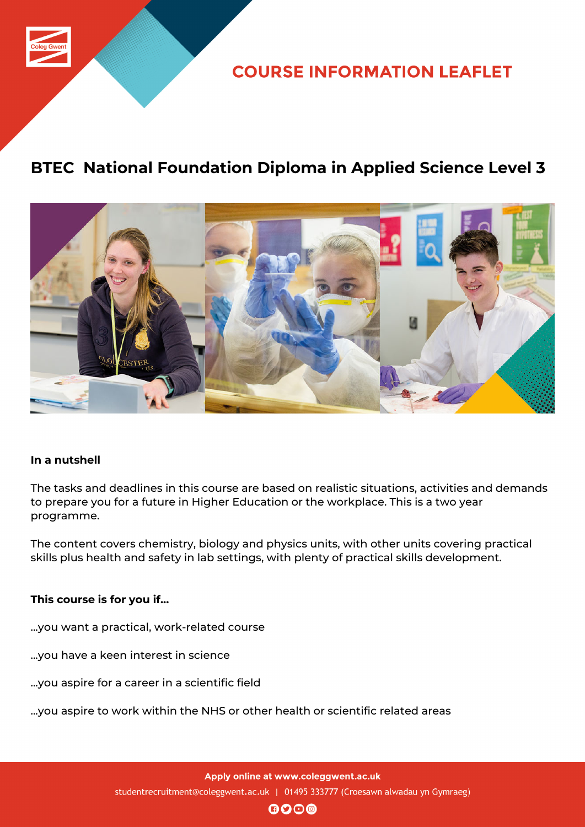

**COURSE INFORMATION LEAFLET** 

## **BTEC National Foundation Diploma in Applied Science Level 3**



## **In a nutshell**

The tasks and deadlines in this course are based on realistic situations, activities and demands to prepare you for a future in Higher Education or the workplace. This is a two year programme.

The content covers chemistry, biology and physics units, with other units covering practical skills plus health and safety in lab settings, with plenty of practical skills development.

#### **This course is for you if...**

- ...you want a practical, work-related course
- ...you have a keen interest in science
- ...you aspire for a career in a scientific field
- ...you aspire to work within the NHS or other health or scientific related areas

Apply online at www.coleggwent.ac.uk studentrecruitment@coleggwent.ac.uk | 01495 333777 (Croesawn alwadau yn Gymraeg)

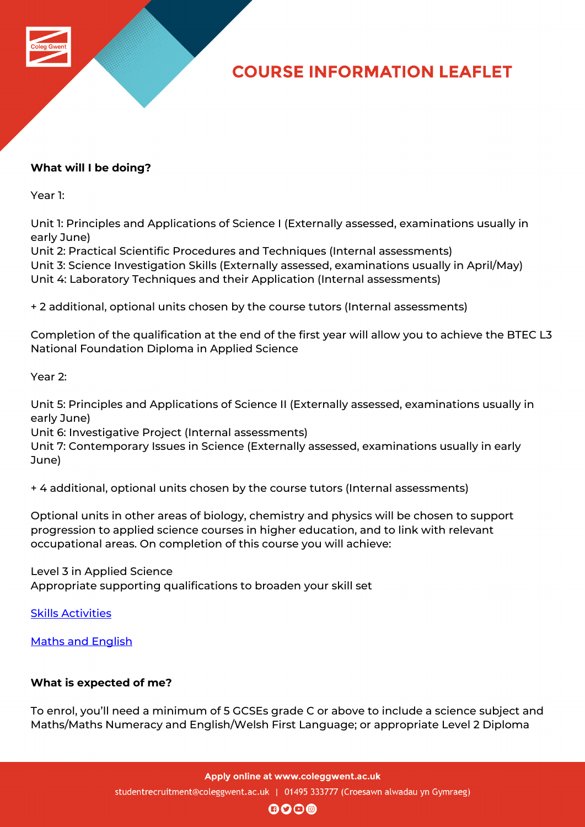

# **COURSE INFORMATION LEAFLET**

## **What will I be doing?**

Year 1:

Unit 1: Principles and Applications of Science I (Externally assessed, examinations usually in early June)

Unit 2: Practical Scientific Procedures and Techniques (Internal assessments) Unit 3: Science Investigation Skills (Externally assessed, examinations usually in April/May) Unit 4: Laboratory Techniques and their Application (Internal assessments)

+ 2 additional, optional units chosen by the course tutors (Internal assessments)

Completion of the qualification at the end of the first year will allow you to achieve the BTEC L3 National Foundation Diploma in Applied Science

Year 2:

Unit 5: Principles and Applications of Science II (Externally assessed, examinations usually in early June)

Unit 6: Investigative Project (Internal assessments)

Unit 7: Contemporary Issues in Science (Externally assessed, examinations usually in early June)

+ 4 additional, optional units chosen by the course tutors (Internal assessments)

Optional units in other areas of biology, chemistry and physics will be chosen to support progression to applied science courses in higher education, and to link with relevant occupational areas. On completion of this course you will achieve:

Level 3 in Applied Science Appropriate supporting qualifications to broaden your skill set

Skills Activities

Maths and English

## **[What is expected](http://www.coleggwent.ac.uk/index.php?option=com_content&view=article&id=2314) of me?**

To enrol, you'll need a minimum of 5 GCSEs grade C or above to include a science subject and Maths/Maths Numeracy and English/Welsh First Language; or appropriate Level 2 Diploma

Apply online at www.coleggwent.ac.uk

studentrecruitment@coleggwent.ac.uk | 01495 333777 (Croesawn alwadau yn Gymraeg)

 $\mathbf{\Theta}$ o $\mathbf{\Theta}$